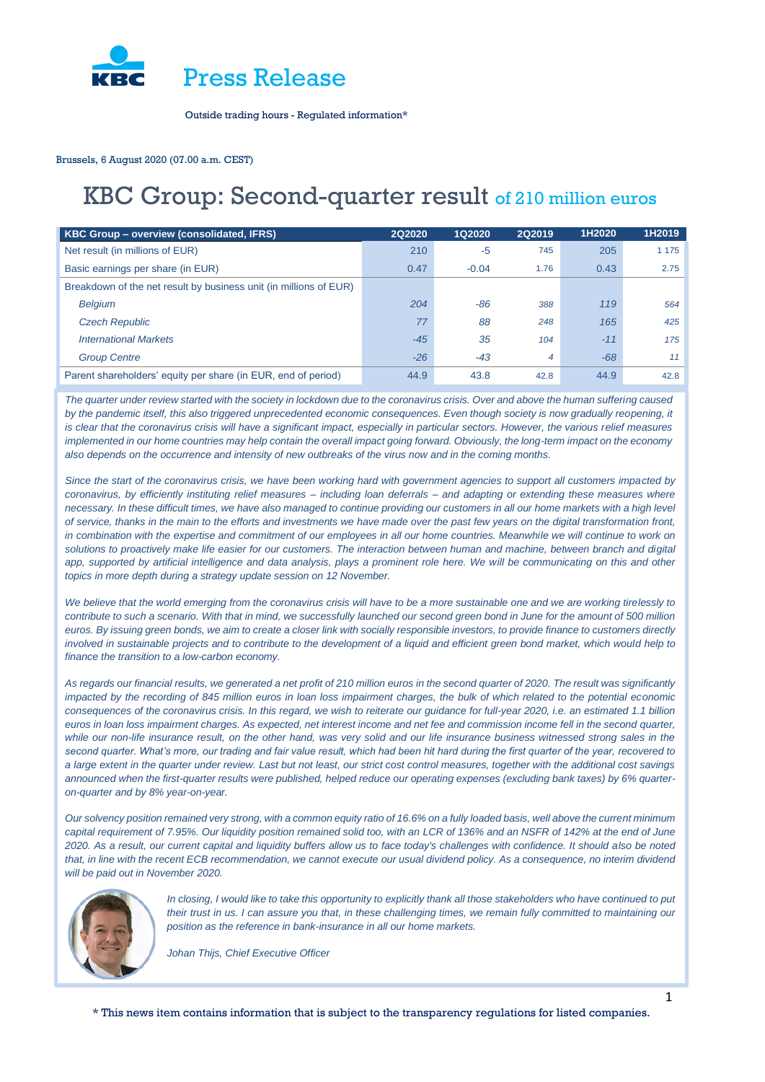

Brussels, 6 August 2020 (07.00 a.m. CEST)

# KBC Group: Second-quarter result of 210 million euros

| KBC Group - overview (consolidated, IFRS)                         | <b>2Q2020</b> | 1Q2020  | 2Q2019 | 1H2020 | 1H2019 |
|-------------------------------------------------------------------|---------------|---------|--------|--------|--------|
| Net result (in millions of EUR)                                   | 210           | -5      | 745    | 205    | 1175   |
| Basic earnings per share (in EUR)                                 | 0.47          | $-0.04$ | 1.76   | 0.43   | 2.75   |
| Breakdown of the net result by business unit (in millions of EUR) |               |         |        |        |        |
| <b>Belgium</b>                                                    | 204           | -86     | 388    | 119    | 564    |
| <b>Czech Republic</b>                                             | 77            | 88      | 248    | 165    | 425    |
| <b>International Markets</b>                                      | $-45$         | 35      | 104    | $-11$  | 175    |
| <b>Group Centre</b>                                               | $-26$         | $-43$   | 4      | $-68$  | 11     |
| Parent shareholders' equity per share (in EUR, end of period)     | 44.9          | 43.8    | 42.8   | 44.9   | 42.8   |

*The quarter under review started with the society in lockdown due to the coronavirus crisis. Over and above the human suffering caused by the pandemic itself, this also triggered unprecedented economic consequences. Even though society is now gradually reopening, it is clear that the coronavirus crisis will have a significant impact, especially in particular sectors. However, the various relief measures implemented in our home countries may help contain the overall impact going forward. Obviously, the long-term impact on the economy also depends on the occurrence and intensity of new outbreaks of the virus now and in the coming months.* 

*Since the start of the coronavirus crisis, we have been working hard with government agencies to support all customers impacted by coronavirus, by efficiently instituting relief measures – including loan deferrals – and adapting or extending these measures where necessary. In these difficult times, we have also managed to continue providing our customers in all our home markets with a high level of service, thanks in the main to the efforts and investments we have made over the past few years on the digital transformation front, in combination with the expertise and commitment of our employees in all our home countries. Meanwhile we will continue to work on solutions to proactively make life easier for our customers. The interaction between human and machine, between branch and digital*  app, supported by artificial intelligence and data analysis, plays a prominent role here. We will be communicating on this and other *topics in more depth during a strategy update session on 12 November.*

We believe that the world emerging from the coronavirus crisis will have to be a more sustainable one and we are working tirelessly to *contribute to such a scenario. With that in mind, we successfully launched our second green bond in June for the amount of 500 million euros. By issuing green bonds, we aim to create a closer link with socially responsible investors, to provide finance to customers directly involved in sustainable projects and to contribute to the development of a liquid and efficient green bond market, which would help to finance the transition to a low-carbon economy.* 

*As regards our financial results, we generated a net profit of 210 million euros in the second quarter of 2020. The result was significantly impacted by the recording of 845 million euros in loan loss impairment charges, the bulk of which related to the potential economic consequences of the coronavirus crisis. In this regard, we wish to reiterate our guidance for full-year 2020, i.e. an estimated 1.1 billion euros in loan loss impairment charges. As expected, net interest income and net fee and commission income fell in the second quarter, while our non-life insurance result, on the other hand, was very solid and our life insurance business witnessed strong sales in the second quarter. What's more, our trading and fair value result, which had been hit hard during the first quarter of the year, recovered to a large extent in the quarter under review. Last but not least, our strict cost control measures, together with the additional cost savings announced when the first-quarter results were published, helped reduce our operating expenses (excluding bank taxes) by 6% quarteron-quarter and by 8% year-on-year.* 

*Our solvency position remained very strong, with a common equity ratio of 16.6% on a fully loaded basis, well above the current minimum capital requirement of 7.95%. Our liquidity position remained solid too, with an LCR of 136% and an NSFR of 142% at the end of June 2020. As a result, our current capital and liquidity buffers allow us to face today's challenges with confidence. It should also be noted*  that, in line with the recent ECB recommendation, we cannot execute our usual dividend policy. As a consequence, no interim dividend *will be paid out in November 2020.*



In closing, I would like to take this opportunity to explicitly thank all those stakeholders who have continued to put *their trust in us. I can assure you that, in these challenging times, we remain fully committed to maintaining our position as the reference in bank-insurance in all our home markets.*

*Johan Thijs, Chief Executive Officer*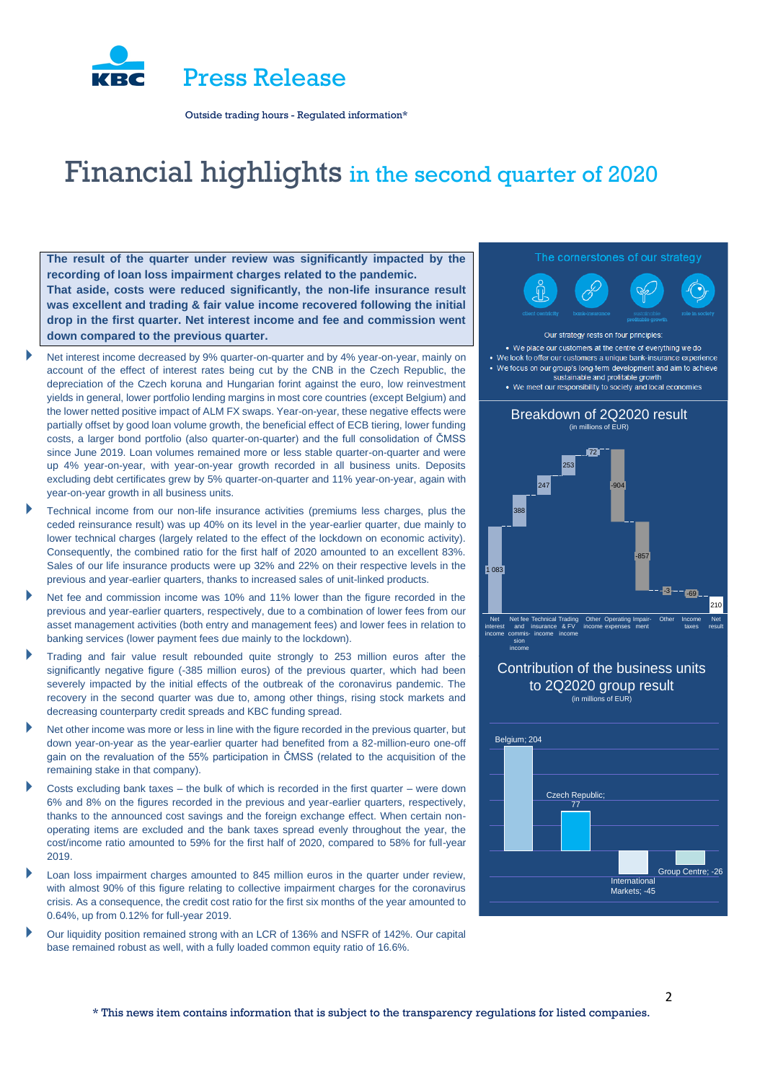

# Financial highlights in the second quarter of 2020

**The result of the quarter under review was significantly impacted by the recording of loan loss impairment charges related to the pandemic. That aside, costs were reduced significantly, the non-life insurance result was excellent and trading & fair value income recovered following the initial drop in the first quarter. Net interest income and fee and commission went down compared to the previous quarter.**

- Net interest income decreased by 9% quarter-on-quarter and by 4% year-on-year, mainly on account of the effect of interest rates being cut by the CNB in the Czech Republic, the depreciation of the Czech koruna and Hungarian forint against the euro, low reinvestment yields in general, lower portfolio lending margins in most core countries (except Belgium) and the lower netted positive impact of ALM FX swaps. Year-on-year, these negative effects were partially offset by good loan volume growth, the beneficial effect of ECB tiering, lower funding costs, a larger bond portfolio (also quarter-on-quarter) and the full consolidation of ČMSS since June 2019. Loan volumes remained more or less stable quarter-on-quarter and were up 4% year-on-year, with year-on-year growth recorded in all business units. Deposits excluding debt certificates grew by 5% quarter-on-quarter and 11% year-on-year, again with year-on-year growth in all business units.
- Technical income from our non-life insurance activities (premiums less charges, plus the ceded reinsurance result) was up 40% on its level in the year-earlier quarter, due mainly to lower technical charges (largely related to the effect of the lockdown on economic activity). Consequently, the combined ratio for the first half of 2020 amounted to an excellent 83%. Sales of our life insurance products were up 32% and 22% on their respective levels in the previous and year-earlier quarters, thanks to increased sales of unit-linked products.
- Net fee and commission income was 10% and 11% lower than the figure recorded in the previous and year-earlier quarters, respectively, due to a combination of lower fees from our asset management activities (both entry and management fees) and lower fees in relation to banking services (lower payment fees due mainly to the lockdown).
- Trading and fair value result rebounded quite strongly to 253 million euros after the significantly negative figure (-385 million euros) of the previous quarter, which had been severely impacted by the initial effects of the outbreak of the coronavirus pandemic. The recovery in the second quarter was due to, among other things, rising stock markets and decreasing counterparty credit spreads and KBC funding spread.
- Net other income was more or less in line with the figure recorded in the previous quarter, but down year-on-year as the year-earlier quarter had benefited from a 82-million-euro one-off gain on the revaluation of the 55% participation in ČMSS (related to the acquisition of the remaining stake in that company).
- Costs excluding bank taxes the bulk of which is recorded in the first quarter were down 6% and 8% on the figures recorded in the previous and year-earlier quarters, respectively, thanks to the announced cost savings and the foreign exchange effect. When certain nonoperating items are excluded and the bank taxes spread evenly throughout the year, the cost/income ratio amounted to 59% for the first half of 2020, compared to 58% for full-year 2019.
- Loan loss impairment charges amounted to 845 million euros in the quarter under review, with almost 90% of this figure relating to collective impairment charges for the coronavirus crisis. As a consequence, the credit cost ratio for the first six months of the year amounted to 0.64%, up from 0.12% for full-year 2019.
- Our liquidity position remained strong with an LCR of 136% and NSFR of 142%. Our capital base remained robust as well, with a fully loaded common equity ratio of 16.6%.

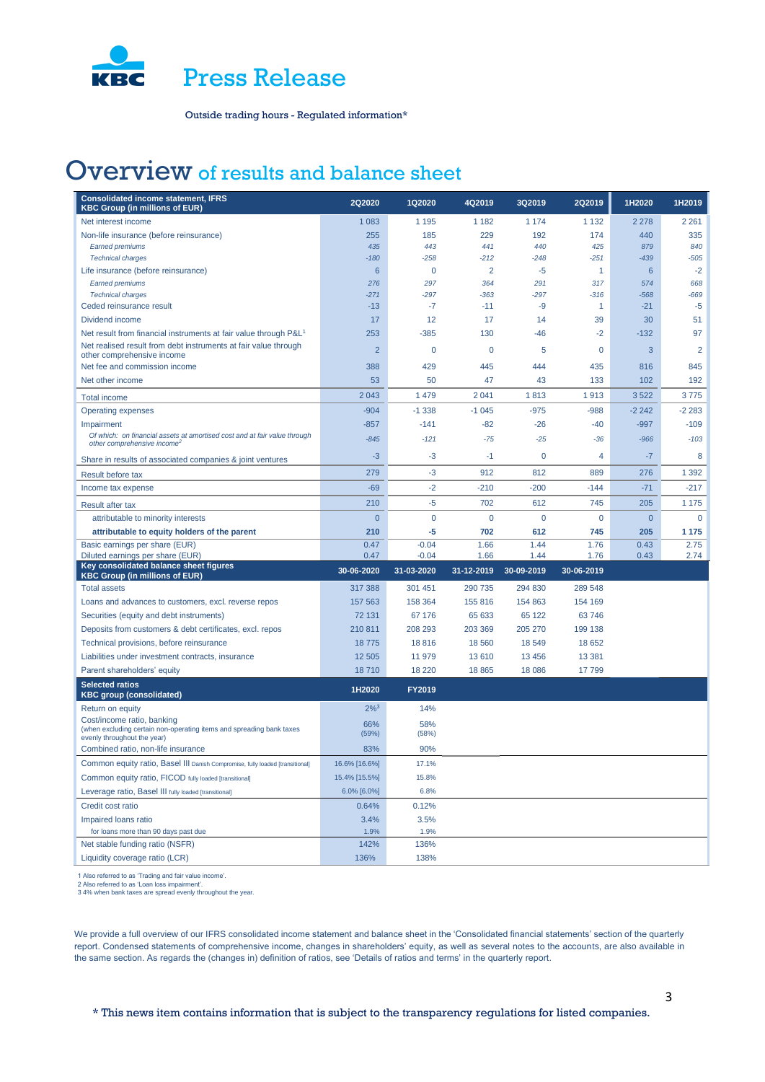

# Overview of results and balance sheet

| <b>Consolidated income statement, IFRS</b><br><b>KBC Group (in millions of EUR)</b>                                                             | 2Q2020         | 1Q2020       | 4Q2019      | 3Q2019      | 2Q2019         | 1H2020          | 1H2019         |
|-------------------------------------------------------------------------------------------------------------------------------------------------|----------------|--------------|-------------|-------------|----------------|-----------------|----------------|
| Net interest income                                                                                                                             | 1 0 8 3        | 1 1 9 5      | 1 1 8 2     | 1 1 7 4     | 1 1 3 2        | 2 2 7 8         | 2 2 6 1        |
| Non-life insurance (before reinsurance)                                                                                                         | 255            | 185          | 229         | 192         | 174            | 440             | 335            |
| <b>Earned premiums</b>                                                                                                                          | 435            | 443          | 441         | 440         | 425            | 879             | 840            |
| <b>Technical charges</b>                                                                                                                        | $-180$         | $-258$       | $-212$      | $-248$      | $-251$         | $-439$          | $-505$         |
| Life insurance (before reinsurance)                                                                                                             | $6\phantom{1}$ | 0            | 2           | $-5$        | 1              | $6\phantom{1}6$ | $-2$           |
| <b>Earned premiums</b>                                                                                                                          | 276            | 297          | 364         | 291         | 317            | 574             | 668            |
| <b>Technical charges</b>                                                                                                                        | $-271$         | $-297$       | $-363$      | $-297$      | $-316$         | $-568$          | $-669$         |
| Ceded reinsurance result                                                                                                                        | $-13$          | $-7$         | $-11$       | -9          | 1              | $-21$           | $-5$           |
| Dividend income                                                                                                                                 | 17             | 12           | 17          | 14          | 39             | 30              | 51             |
| Net result from financial instruments at fair value through P&L <sup>1</sup><br>Net realised result from debt instruments at fair value through | 253            | $-385$       | 130         | -46         | $-2$           | $-132$          | 97             |
| other comprehensive income                                                                                                                      | $\overline{2}$ | 0            | 0           | 5           | 0              | 3               | $\overline{2}$ |
| Net fee and commission income                                                                                                                   | 388            | 429          | 445         | 444         | 435            | 816             | 845            |
| Net other income                                                                                                                                | 53             | 50           | 47          | 43          | 133            | 102             | 192            |
| <b>Total income</b>                                                                                                                             | 2043           | 1 4 7 9      | 2041        | 1813        | 1913           | 3522            | 3775           |
| <b>Operating expenses</b>                                                                                                                       | $-904$         | $-1338$      | $-1045$     | $-975$      | $-988$         | $-2242$         | $-2283$        |
| Impairment                                                                                                                                      | $-857$         | $-141$       | $-82$       | $-26$       | $-40$          | $-997$          | $-109$         |
| Of which: on financial assets at amortised cost and at fair value through<br>other comprehensive income <sup>2</sup>                            | $-845$         | $-121$       | $-75$       | $-25$       | $-36$          | $-966$          | $-103$         |
| Share in results of associated companies & joint ventures                                                                                       | $-3$           | -3           | $-1$        | $\mathbf 0$ | 4              | $-7$            | 8              |
| Result before tax                                                                                                                               | 279            | $-3$         | 912         | 812         | 889            | 276             | 1 3 9 2        |
| Income tax expense                                                                                                                              | $-69$          | $-2$         | $-210$      | $-200$      | $-144$         | $-71$           | $-217$         |
| Result after tax                                                                                                                                | 210            | $-5$         | 702         | 612         | 745            | 205             | 1 1 7 5        |
| attributable to minority interests                                                                                                              | $\overline{0}$ | $\mathbf{0}$ | $\mathbf 0$ | $\mathbf 0$ | $\overline{0}$ | $\overline{0}$  | $\mathbf{0}$   |
| attributable to equity holders of the parent                                                                                                    | 210            | -5           | 702         | 612         | 745            | 205             | 1 1 7 5        |
| Basic earnings per share (EUR)                                                                                                                  | 0.47           | $-0.04$      | 1.66        | 1.44        | 1.76           | 0.43            | 2.75           |
| Diluted earnings per share (EUR)                                                                                                                | 0.47           | $-0.04$      | 1.66        | 1.44        | 1.76           | 0.43            | 2.74           |
| Key consolidated balance sheet figures<br><b>KBC Group (in millions of EUR)</b>                                                                 | 30-06-2020     | 31-03-2020   | 31-12-2019  | 30-09-2019  | 30-06-2019     |                 |                |
| <b>Total assets</b>                                                                                                                             | 317 388        | 301 451      | 290 735     | 294 830     | 289 548        |                 |                |
| Loans and advances to customers, excl. reverse repos                                                                                            | 157 563        | 158 364      | 155 816     | 154 863     | 154 169        |                 |                |
| Securities (equity and debt instruments)                                                                                                        | 72 131         | 67 176       | 65 633      | 65 122      | 63746          |                 |                |
| Deposits from customers & debt certificates, excl. repos                                                                                        | 210 811        | 208 293      | 203 369     | 205 270     | 199 138        |                 |                |
| Technical provisions, before reinsurance                                                                                                        | 18775          | 18816        | 18 5 60     | 18 549      | 18 652         |                 |                |
| Liabilities under investment contracts, insurance                                                                                               | 12 505         | 11 979       | 13 610      | 13 4 56     | 13 3 8 1       |                 |                |
| Parent shareholders' equity                                                                                                                     | 18710          | 18 2 20      | 18 8 65     | 18 086      | 17799          |                 |                |
| <b>Selected ratios</b><br><b>KBC group (consolidated)</b>                                                                                       | 1H2020         | FY2019       |             |             |                |                 |                |
| Return on equity                                                                                                                                | $2\%^{3}$      | 14%          |             |             |                |                 |                |
| Cost/income ratio, banking<br>(when excluding certain non-operating items and spreading bank taxes<br>evenly throughout the year)               | 66%<br>(59%)   | 58%<br>(58%) |             |             |                |                 |                |
| Combined ratio, non-life insurance                                                                                                              | 83%            | 90%          |             |             |                |                 |                |
| Common equity ratio, Basel III Danish Compromise, fully loaded [transitional]                                                                   | 16.6% [16.6%]  | 17.1%        |             |             |                |                 |                |
| Common equity ratio, FICOD fully loaded [transitional]                                                                                          | 15.4% [15.5%]  | 15.8%        |             |             |                |                 |                |
| Leverage ratio, Basel III fully loaded [transitional]                                                                                           | 6.0% [6.0%]    | 6.8%         |             |             |                |                 |                |
| Credit cost ratio                                                                                                                               | 0.64%          | 0.12%        |             |             |                |                 |                |
| Impaired loans ratio                                                                                                                            | 3.4%           | 3.5%         |             |             |                |                 |                |
| for loans more than 90 days past due                                                                                                            | 1.9%           | 1.9%         |             |             |                |                 |                |
| Net stable funding ratio (NSFR)                                                                                                                 | 142%           | 136%         |             |             |                |                 |                |
| Liquidity coverage ratio (LCR)                                                                                                                  | 136%           | 138%         |             |             |                |                 |                |

1 Also referred to as 'Trading and fair value income'. 2 Also referred to as 'Loan loss impairment'. 3 4% when bank taxes are spread evenly throughout the year.

We provide a full overview of our IFRS consolidated income statement and balance sheet in the 'Consolidated financial statements' section of the quarterly report. Condensed statements of comprehensive income, changes in shareholders' equity, as well as several notes to the accounts, are also available in the same section. As regards the (changes in) definition of ratios, see 'Details of ratios and terms' in the quarterly report.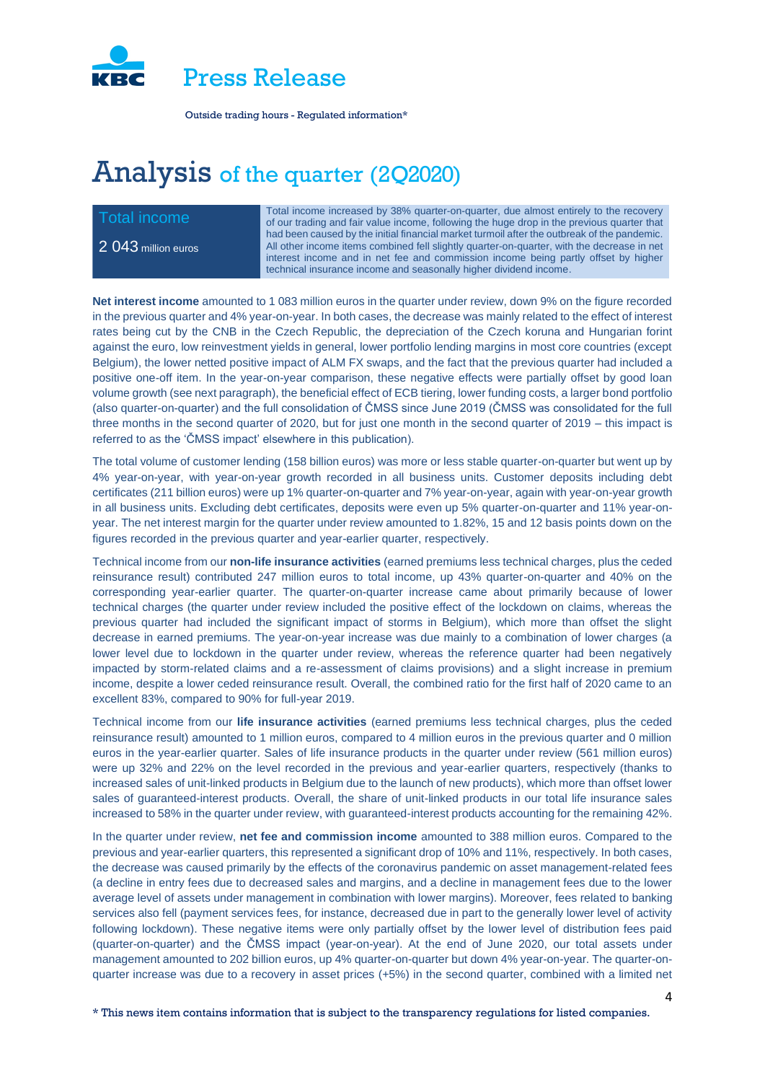

# Analysis of the quarter (2Q2020)

2 043 million euros

Total income increased by 38% quarter-on-quarter, due almost entirely to the recovery<br>of our trading and fair value income, following the buge drop in the previous quarter that of our trading and fair value income, following the huge drop in the previous quarter that had been caused by the initial financial market turmoil after the outbreak of the pandemic. All other income items combined fell slightly quarter-on-quarter, with the decrease in net interest income and in net fee and commission income being partly offset by higher technical insurance income and seasonally higher dividend income.

**Net interest income** amounted to 1 083 million euros in the quarter under review, down 9% on the figure recorded in the previous quarter and 4% year-on-year. In both cases, the decrease was mainly related to the effect of interest rates being cut by the CNB in the Czech Republic, the depreciation of the Czech koruna and Hungarian forint against the euro, low reinvestment yields in general, lower portfolio lending margins in most core countries (except Belgium), the lower netted positive impact of ALM FX swaps, and the fact that the previous quarter had included a positive one-off item. In the year-on-year comparison, these negative effects were partially offset by good loan volume growth (see next paragraph), the beneficial effect of ECB tiering, lower funding costs, a larger bond portfolio (also quarter-on-quarter) and the full consolidation of ČMSS since June 2019 (ČMSS was consolidated for the full three months in the second quarter of 2020, but for just one month in the second quarter of 2019 – this impact is referred to as the 'ČMSS impact' elsewhere in this publication).

The total volume of customer lending (158 billion euros) was more or less stable quarter-on-quarter but went up by 4% year-on-year, with year-on-year growth recorded in all business units. Customer deposits including debt certificates (211 billion euros) were up 1% quarter-on-quarter and 7% year-on-year, again with year-on-year growth in all business units. Excluding debt certificates, deposits were even up 5% quarter-on-quarter and 11% year-onyear. The net interest margin for the quarter under review amounted to 1.82%, 15 and 12 basis points down on the figures recorded in the previous quarter and year-earlier quarter, respectively.

Technical income from our **non-life insurance activities** (earned premiums less technical charges, plus the ceded reinsurance result) contributed 247 million euros to total income, up 43% quarter-on-quarter and 40% on the corresponding year-earlier quarter. The quarter-on-quarter increase came about primarily because of lower technical charges (the quarter under review included the positive effect of the lockdown on claims, whereas the previous quarter had included the significant impact of storms in Belgium), which more than offset the slight decrease in earned premiums. The year-on-year increase was due mainly to a combination of lower charges (a lower level due to lockdown in the quarter under review, whereas the reference quarter had been negatively impacted by storm-related claims and a re-assessment of claims provisions) and a slight increase in premium income, despite a lower ceded reinsurance result. Overall, the combined ratio for the first half of 2020 came to an excellent 83%, compared to 90% for full-year 2019.

Technical income from our **life insurance activities** (earned premiums less technical charges, plus the ceded reinsurance result) amounted to 1 million euros, compared to 4 million euros in the previous quarter and 0 million euros in the year-earlier quarter. Sales of life insurance products in the quarter under review (561 million euros) were up 32% and 22% on the level recorded in the previous and year-earlier quarters, respectively (thanks to increased sales of unit-linked products in Belgium due to the launch of new products), which more than offset lower sales of guaranteed-interest products. Overall, the share of unit-linked products in our total life insurance sales increased to 58% in the quarter under review, with guaranteed-interest products accounting for the remaining 42%.

In the quarter under review, **net fee and commission income** amounted to 388 million euros. Compared to the previous and year-earlier quarters, this represented a significant drop of 10% and 11%, respectively. In both cases, the decrease was caused primarily by the effects of the coronavirus pandemic on asset management-related fees (a decline in entry fees due to decreased sales and margins, and a decline in management fees due to the lower average level of assets under management in combination with lower margins). Moreover, fees related to banking services also fell (payment services fees, for instance, decreased due in part to the generally lower level of activity following lockdown). These negative items were only partially offset by the lower level of distribution fees paid (quarter-on-quarter) and the ČMSS impact (year-on-year). At the end of June 2020, our total assets under management amounted to 202 billion euros, up 4% quarter-on-quarter but down 4% year-on-year. The quarter-onquarter increase was due to a recovery in asset prices (+5%) in the second quarter, combined with a limited net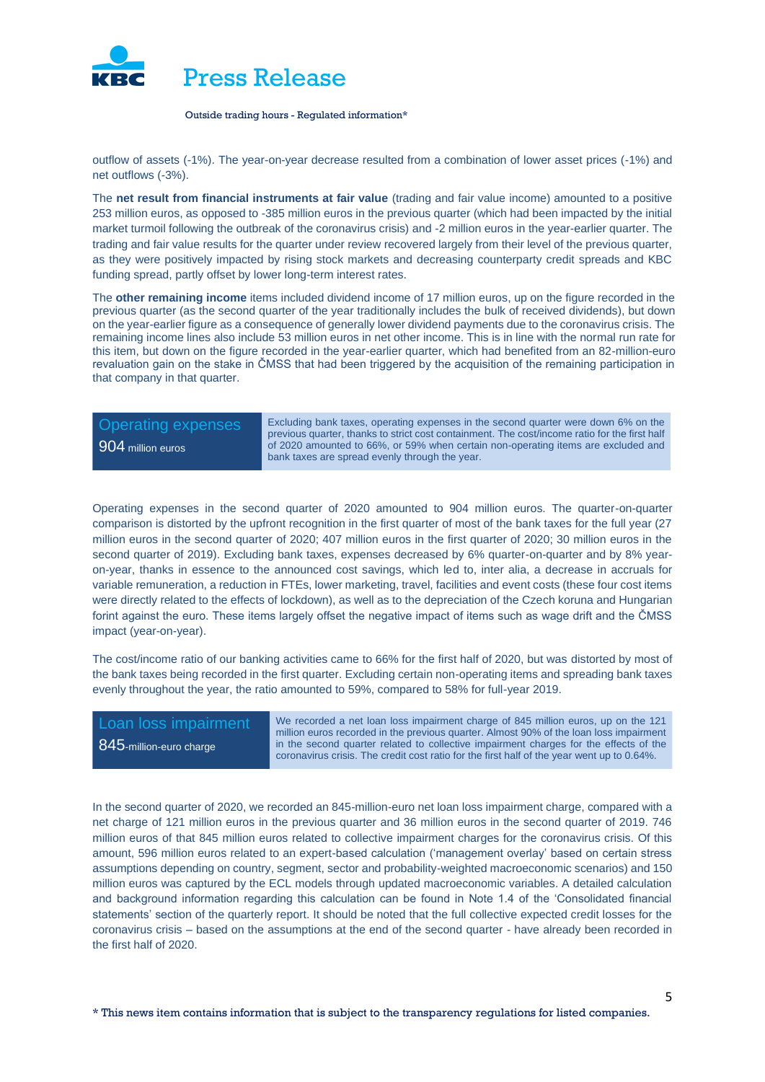

outflow of assets (-1%). The year-on-year decrease resulted from a combination of lower asset prices (-1%) and net outflows (-3%).

The **net result from financial instruments at fair value** (trading and fair value income) amounted to a positive 253 million euros, as opposed to -385 million euros in the previous quarter (which had been impacted by the initial market turmoil following the outbreak of the coronavirus crisis) and -2 million euros in the year-earlier quarter. The trading and fair value results for the quarter under review recovered largely from their level of the previous quarter, as they were positively impacted by rising stock markets and decreasing counterparty credit spreads and KBC funding spread, partly offset by lower long-term interest rates.

The **other remaining income** items included dividend income of 17 million euros, up on the figure recorded in the previous quarter (as the second quarter of the year traditionally includes the bulk of received dividends), but down on the year-earlier figure as a consequence of generally lower dividend payments due to the coronavirus crisis. The remaining income lines also include 53 million euros in net other income. This is in line with the normal run rate for this item, but down on the figure recorded in the year-earlier quarter, which had benefited from an 82-million-euro revaluation gain on the stake in ČMSS that had been triggered by the acquisition of the remaining participation in that company in that quarter.

# 904 million euros

Operating expenses Excluding bank taxes, operating expenses in the second quarter were down 6% on the previous quarter, thanks to strict cost containment. The cost/income ratio for the first half of 2020 amounted to 66%, or 59% when certain non-operating items are excluded and bank taxes are spread evenly through the year.

Operating expenses in the second quarter of 2020 amounted to 904 million euros. The quarter-on-quarter comparison is distorted by the upfront recognition in the first quarter of most of the bank taxes for the full year (27 million euros in the second quarter of 2020; 407 million euros in the first quarter of 2020; 30 million euros in the second quarter of 2019). Excluding bank taxes, expenses decreased by 6% quarter-on-quarter and by 8% yearon-year, thanks in essence to the announced cost savings, which led to, inter alia, a decrease in accruals for variable remuneration, a reduction in FTEs, lower marketing, travel, facilities and event costs (these four cost items were directly related to the effects of lockdown), as well as to the depreciation of the Czech koruna and Hungarian forint against the euro. These items largely offset the negative impact of items such as wage drift and the ČMSS impact (year-on-year).

The cost/income ratio of our banking activities came to 66% for the first half of 2020, but was distorted by most of the bank taxes being recorded in the first quarter. Excluding certain non-operating items and spreading bank taxes evenly throughout the year, the ratio amounted to 59%, compared to 58% for full-year 2019.

845-million-euro charge

Loan loss impairment We recorded a net loan loss impairment charge of 845 million euros, up on the 121 million euros recorded in the previous quarter. Almost 90% of the loan loss impairment in the second quarter related to collective impairment charges for the effects of the coronavirus crisis. The credit cost ratio for the first half of the year went up to 0.64%.

In the second quarter of 2020, we recorded an 845-million-euro net loan loss impairment charge, compared with a net charge of 121 million euros in the previous quarter and 36 million euros in the second quarter of 2019. 746 million euros of that 845 million euros related to collective impairment charges for the coronavirus crisis. Of this amount, 596 million euros related to an expert-based calculation ('management overlay' based on certain stress assumptions depending on country, segment, sector and probability-weighted macroeconomic scenarios) and 150 million euros was captured by the ECL models through updated macroeconomic variables. A detailed calculation and background information regarding this calculation can be found in Note 1.4 of the 'Consolidated financial statements' section of the quarterly report. It should be noted that the full collective expected credit losses for the coronavirus crisis – based on the assumptions at the end of the second quarter - have already been recorded in the first half of 2020.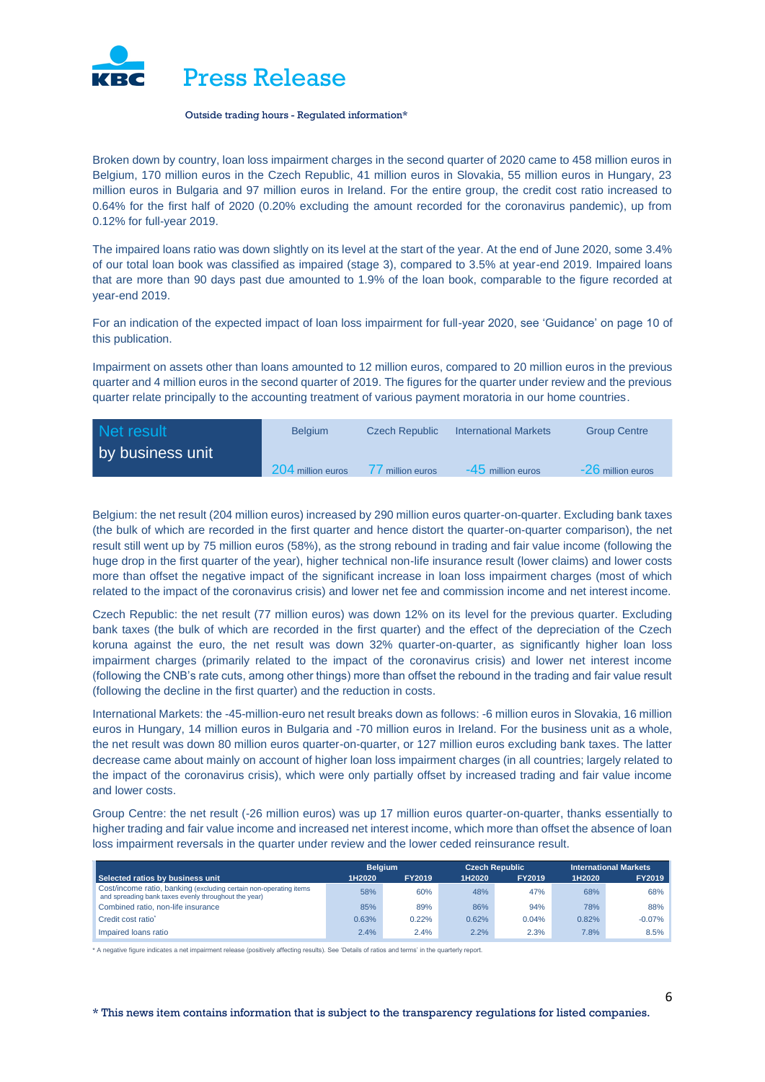

Broken down by country, loan loss impairment charges in the second quarter of 2020 came to 458 million euros in Belgium, 170 million euros in the Czech Republic, 41 million euros in Slovakia, 55 million euros in Hungary, 23 million euros in Bulgaria and 97 million euros in Ireland. For the entire group, the credit cost ratio increased to 0.64% for the first half of 2020 (0.20% excluding the amount recorded for the coronavirus pandemic), up from 0.12% for full-year 2019.

The impaired loans ratio was down slightly on its level at the start of the year. At the end of June 2020, some 3.4% of our total loan book was classified as impaired (stage 3), compared to 3.5% at year-end 2019. Impaired loans that are more than 90 days past due amounted to 1.9% of the loan book, comparable to the figure recorded at year-end 2019.

For an indication of the expected impact of loan loss impairment for full-year 2020, see 'Guidance' on page 10 of this publication.

Impairment on assets other than loans amounted to 12 million euros, compared to 20 million euros in the previous quarter and 4 million euros in the second quarter of 2019. The figures for the quarter under review and the previous quarter relate principally to the accounting treatment of various payment moratoria in our home countries.

| Net result       | <b>Belgium</b>    | <b>Czech Republic</b> | <b>International Markets</b> | <b>Group Centre</b> |
|------------------|-------------------|-----------------------|------------------------------|---------------------|
| by business unit |                   |                       |                              |                     |
|                  | 204 million euros | million euros         | -45 million euros            | $-26$ million euros |

Belgium: the net result (204 million euros) increased by 290 million euros quarter-on-quarter. Excluding bank taxes (the bulk of which are recorded in the first quarter and hence distort the quarter-on-quarter comparison), the net result still went up by 75 million euros (58%), as the strong rebound in trading and fair value income (following the huge drop in the first quarter of the year), higher technical non-life insurance result (lower claims) and lower costs more than offset the negative impact of the significant increase in loan loss impairment charges (most of which related to the impact of the coronavirus crisis) and lower net fee and commission income and net interest income.

Czech Republic: the net result (77 million euros) was down 12% on its level for the previous quarter. Excluding bank taxes (the bulk of which are recorded in the first quarter) and the effect of the depreciation of the Czech koruna against the euro, the net result was down 32% quarter-on-quarter, as significantly higher loan loss impairment charges (primarily related to the impact of the coronavirus crisis) and lower net interest income (following the CNB's rate cuts, among other things) more than offset the rebound in the trading and fair value result (following the decline in the first quarter) and the reduction in costs.

International Markets: the -45-million-euro net result breaks down as follows: -6 million euros in Slovakia, 16 million euros in Hungary, 14 million euros in Bulgaria and -70 million euros in Ireland. For the business unit as a whole, the net result was down 80 million euros quarter-on-quarter, or 127 million euros excluding bank taxes. The latter decrease came about mainly on account of higher loan loss impairment charges (in all countries; largely related to the impact of the coronavirus crisis), which were only partially offset by increased trading and fair value income and lower costs.

Group Centre: the net result (-26 million euros) was up 17 million euros quarter-on-quarter, thanks essentially to higher trading and fair value income and increased net interest income, which more than offset the absence of loan loss impairment reversals in the quarter under review and the lower ceded reinsurance result.

|                                                                                                                           | <b>Belaium</b> |               |        | <b>Czech Republic</b> |        | <b>International Markets</b> |  |
|---------------------------------------------------------------------------------------------------------------------------|----------------|---------------|--------|-----------------------|--------|------------------------------|--|
| Selected ratios by business unit                                                                                          | 1H2020         | <b>FY2019</b> | 1H2020 | <b>FY2019</b>         | 1H2020 | <b>FY2019</b>                |  |
| Cost/income ratio, banking (excluding certain non-operating items<br>and spreading bank taxes evenly throughout the year) | 58%            | 60%           | 48%    | 47%                   | 68%    | 68%                          |  |
| Combined ratio, non-life insurance                                                                                        | 85%            | 89%           | 86%    | 94%                   | 78%    | 88%                          |  |
| Credit cost ratio <sup>*</sup>                                                                                            | 0.63%          | 0.22%         | 0.62%  | 0.04%                 | 0.82%  | $-0.07%$                     |  |
| Impaired loans ratio                                                                                                      | 2.4%           | 2.4%          | 2.2%   | 2.3%                  | 7.8%   | 8.5%                         |  |

\* A negative figure indicates a net impairment release (positively affecting results). See 'Details of ratios and terms' in the quarterly report.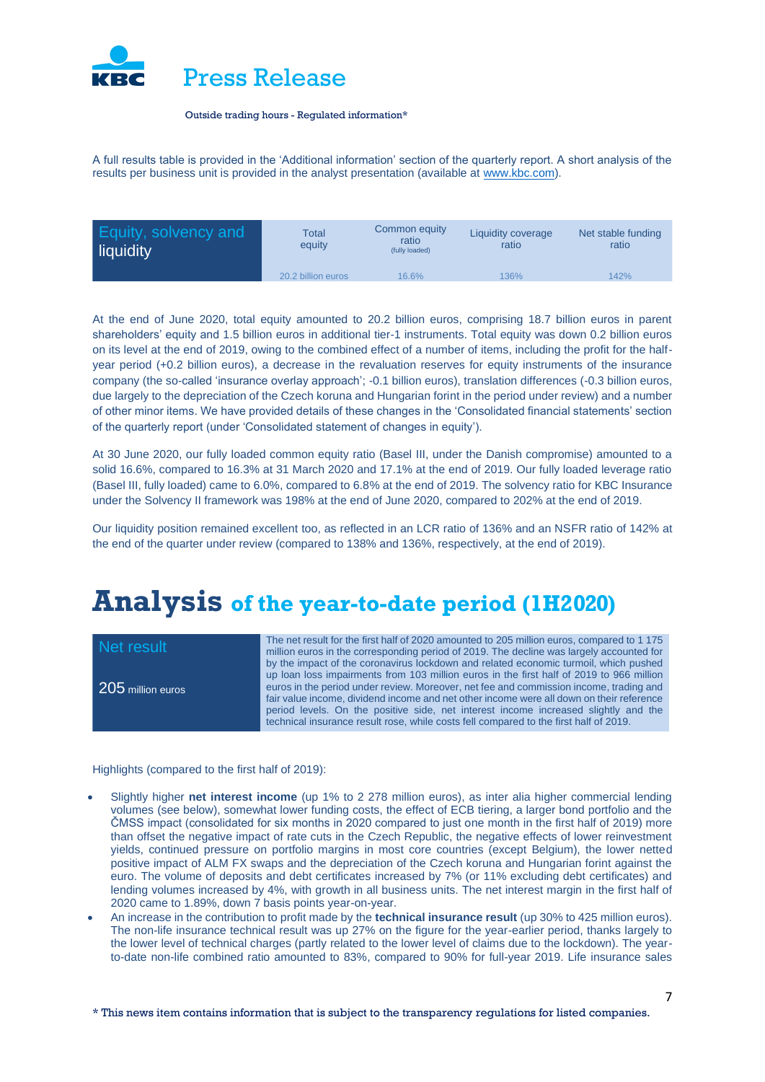

A full results table is provided in the 'Additional information' section of the quarterly report. A short analysis of the results per business unit is provided in the analyst presentation (available at [www.kbc.com\)](http://www.kbc.com/).

| <b>Equity, solvency and</b><br>liquidity | <b>Total</b><br>equity | Common equity<br>ratio<br>(fully loaded) | Liquidity coverage<br>ratio | Net stable funding<br>ratio |
|------------------------------------------|------------------------|------------------------------------------|-----------------------------|-----------------------------|
|                                          | 20.2 billion euros     | 16.6%                                    | 136%                        | 142%                        |

At the end of June 2020, total equity amounted to 20.2 billion euros, comprising 18.7 billion euros in parent shareholders' equity and 1.5 billion euros in additional tier-1 instruments. Total equity was down 0.2 billion euros on its level at the end of 2019, owing to the combined effect of a number of items, including the profit for the halfyear period (+0.2 billion euros), a decrease in the revaluation reserves for equity instruments of the insurance company (the so-called 'insurance overlay approach'; -0.1 billion euros), translation differences (-0.3 billion euros, due largely to the depreciation of the Czech koruna and Hungarian forint in the period under review) and a number of other minor items. We have provided details of these changes in the 'Consolidated financial statements' section of the quarterly report (under 'Consolidated statement of changes in equity').

At 30 June 2020, our fully loaded common equity ratio (Basel III, under the Danish compromise) amounted to a solid 16.6%, compared to 16.3% at 31 March 2020 and 17.1% at the end of 2019. Our fully loaded leverage ratio (Basel III, fully loaded) came to 6.0%, compared to 6.8% at the end of 2019. The solvency ratio for KBC Insurance under the Solvency II framework was 198% at the end of June 2020, compared to 202% at the end of 2019.

Our liquidity position remained excellent too, as reflected in an LCR ratio of 136% and an NSFR ratio of 142% at the end of the quarter under review (compared to 138% and 136%, respectively, at the end of 2019).

### **Analysis of the year-to-date period (1H2020)**

| Net result        | The net result for the first half of 2020 amounted to 205 million euros, compared to 1 175<br>million euros in the corresponding period of 2019. The decline was largely accounted for                                                                                                                                                                                                                                                                                                                                                                 |
|-------------------|--------------------------------------------------------------------------------------------------------------------------------------------------------------------------------------------------------------------------------------------------------------------------------------------------------------------------------------------------------------------------------------------------------------------------------------------------------------------------------------------------------------------------------------------------------|
| 205 million euros | by the impact of the coronavirus lockdown and related economic turmoil, which pushed<br>up loan loss impairments from 103 million euros in the first half of 2019 to 966 million<br>euros in the period under review. Moreover, net fee and commission income, trading and<br>fair value income, dividend income and net other income were all down on their reference<br>period levels. On the positive side, net interest income increased slightly and the<br>technical insurance result rose, while costs fell compared to the first half of 2019. |

Highlights (compared to the first half of 2019):

- Slightly higher **net interest income** (up 1% to 2 278 million euros), as inter alia higher commercial lending volumes (see below), somewhat lower funding costs, the effect of ECB tiering, a larger bond portfolio and the ČMSS impact (consolidated for six months in 2020 compared to just one month in the first half of 2019) more than offset the negative impact of rate cuts in the Czech Republic, the negative effects of lower reinvestment yields, continued pressure on portfolio margins in most core countries (except Belgium), the lower netted positive impact of ALM FX swaps and the depreciation of the Czech koruna and Hungarian forint against the euro. The volume of deposits and debt certificates increased by 7% (or 11% excluding debt certificates) and lending volumes increased by 4%, with growth in all business units. The net interest margin in the first half of 2020 came to 1.89%, down 7 basis points year-on-year.
- An increase in the contribution to profit made by the **technical insurance result** (up 30% to 425 million euros). The non-life insurance technical result was up 27% on the figure for the year-earlier period, thanks largely to the lower level of technical charges (partly related to the lower level of claims due to the lockdown). The yearto-date non-life combined ratio amounted to 83%, compared to 90% for full-year 2019. Life insurance sales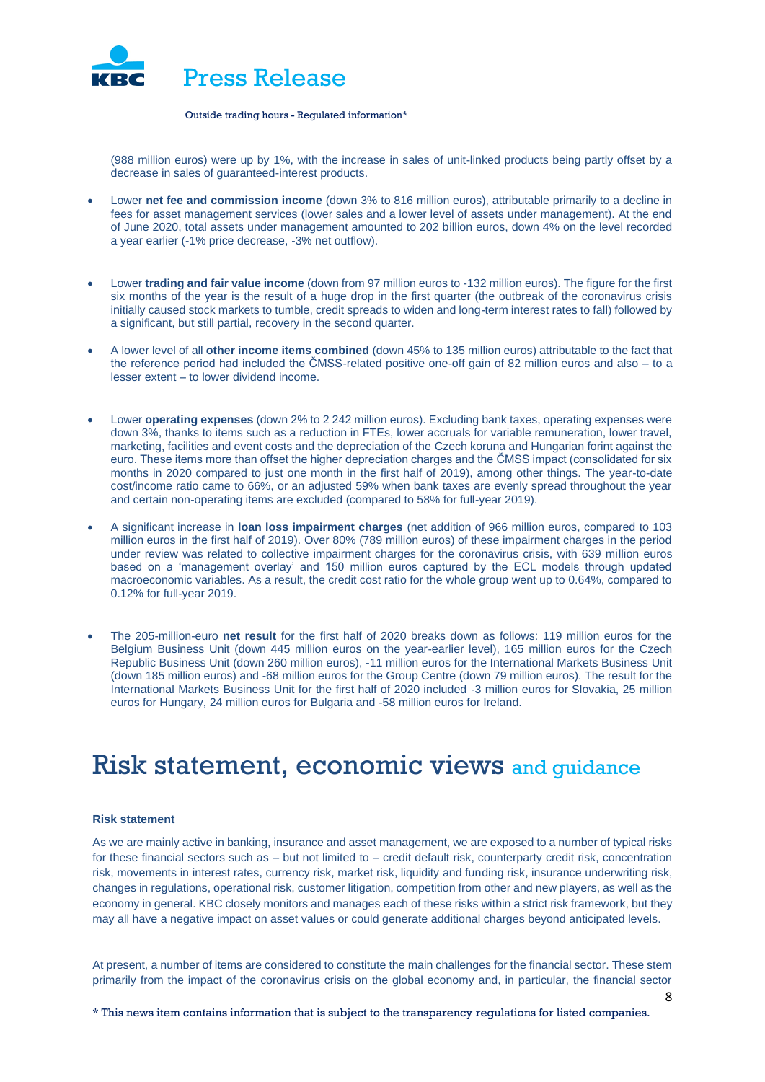

(988 million euros) were up by 1%, with the increase in sales of unit-linked products being partly offset by a decrease in sales of guaranteed-interest products.

- Lower **net fee and commission income** (down 3% to 816 million euros), attributable primarily to a decline in fees for asset management services (lower sales and a lower level of assets under management). At the end of June 2020, total assets under management amounted to 202 billion euros, down 4% on the level recorded a year earlier (-1% price decrease, -3% net outflow).
- Lower **trading and fair value income** (down from 97 million euros to -132 million euros). The figure for the first six months of the year is the result of a huge drop in the first quarter (the outbreak of the coronavirus crisis initially caused stock markets to tumble, credit spreads to widen and long-term interest rates to fall) followed by a significant, but still partial, recovery in the second quarter.
- A lower level of all **other income items combined** (down 45% to 135 million euros) attributable to the fact that the reference period had included the ČMSS-related positive one-off gain of 82 million euros and also – to a lesser extent – to lower dividend income.
- Lower **operating expenses** (down 2% to 2 242 million euros). Excluding bank taxes, operating expenses were down 3%, thanks to items such as a reduction in FTEs, lower accruals for variable remuneration, lower travel, marketing, facilities and event costs and the depreciation of the Czech koruna and Hungarian forint against the euro. These items more than offset the higher depreciation charges and the ČMSS impact (consolidated for six months in 2020 compared to just one month in the first half of 2019), among other things. The year-to-date cost/income ratio came to 66%, or an adjusted 59% when bank taxes are evenly spread throughout the year and certain non-operating items are excluded (compared to 58% for full-year 2019).
- A significant increase in **loan loss impairment charges** (net addition of 966 million euros, compared to 103 million euros in the first half of 2019). Over 80% (789 million euros) of these impairment charges in the period under review was related to collective impairment charges for the coronavirus crisis, with 639 million euros based on a 'management overlay' and 150 million euros captured by the ECL models through updated macroeconomic variables. As a result, the credit cost ratio for the whole group went up to 0.64%, compared to 0.12% for full-year 2019.
- The 205-million-euro **net result** for the first half of 2020 breaks down as follows: 119 million euros for the Belgium Business Unit (down 445 million euros on the year-earlier level), 165 million euros for the Czech Republic Business Unit (down 260 million euros), -11 million euros for the International Markets Business Unit (down 185 million euros) and -68 million euros for the Group Centre (down 79 million euros). The result for the International Markets Business Unit for the first half of 2020 included -3 million euros for Slovakia, 25 million euros for Hungary, 24 million euros for Bulgaria and -58 million euros for Ireland.

# Risk statement, economic views and guidance

### **Risk statement**

As we are mainly active in banking, insurance and asset management, we are exposed to a number of typical risks for these financial sectors such as – but not limited to – credit default risk, counterparty credit risk, concentration risk, movements in interest rates, currency risk, market risk, liquidity and funding risk, insurance underwriting risk, changes in regulations, operational risk, customer litigation, competition from other and new players, as well as the economy in general. KBC closely monitors and manages each of these risks within a strict risk framework, but they may all have a negative impact on asset values or could generate additional charges beyond anticipated levels.

At present, a number of items are considered to constitute the main challenges for the financial sector. These stem primarily from the impact of the coronavirus crisis on the global economy and, in particular, the financial sector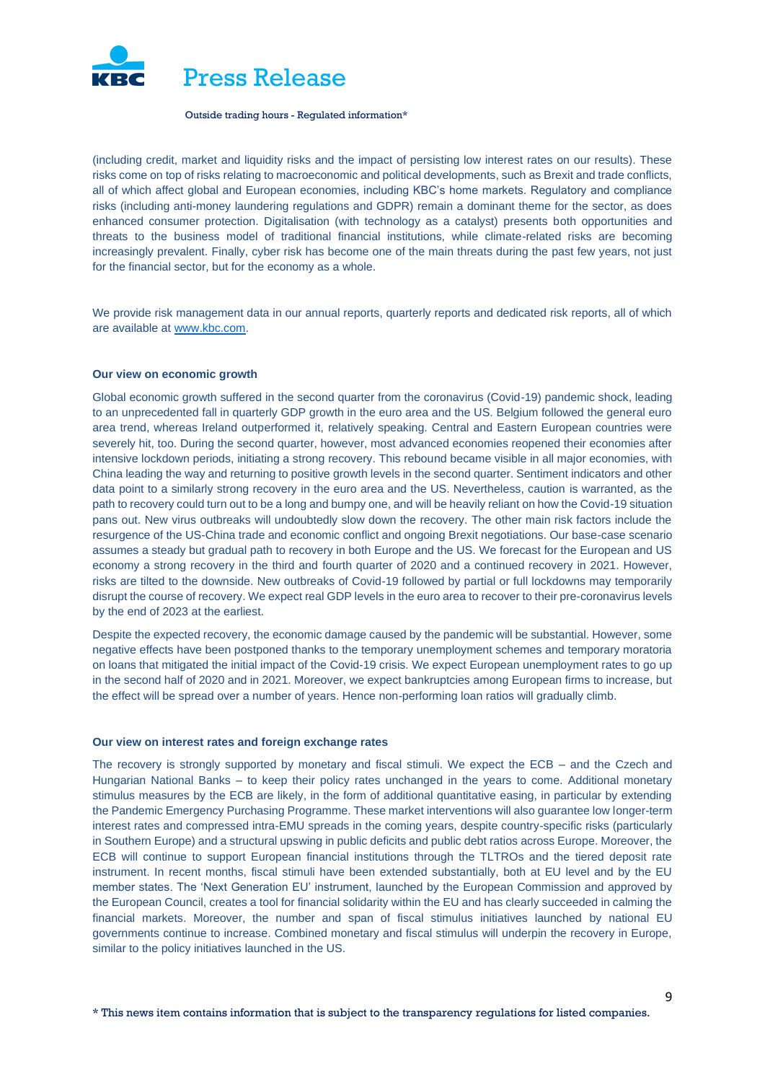

(including credit, market and liquidity risks and the impact of persisting low interest rates on our results). These risks come on top of risks relating to macroeconomic and political developments, such as Brexit and trade conflicts, all of which affect global and European economies, including KBC's home markets. Regulatory and compliance risks (including anti-money laundering regulations and GDPR) remain a dominant theme for the sector, as does enhanced consumer protection. Digitalisation (with technology as a catalyst) presents both opportunities and threats to the business model of traditional financial institutions, while climate-related risks are becoming increasingly prevalent. Finally, cyber risk has become one of the main threats during the past few years, not just for the financial sector, but for the economy as a whole.

We provide risk management data in our annual reports, quarterly reports and dedicated risk reports, all of which are available a[t www.kbc.com.](http://www.kbc.com/)

### **Our view on economic growth**

Global economic growth suffered in the second quarter from the coronavirus (Covid-19) pandemic shock, leading to an unprecedented fall in quarterly GDP growth in the euro area and the US. Belgium followed the general euro area trend, whereas Ireland outperformed it, relatively speaking. Central and Eastern European countries were severely hit, too. During the second quarter, however, most advanced economies reopened their economies after intensive lockdown periods, initiating a strong recovery. This rebound became visible in all major economies, with China leading the way and returning to positive growth levels in the second quarter. Sentiment indicators and other data point to a similarly strong recovery in the euro area and the US. Nevertheless, caution is warranted, as the path to recovery could turn out to be a long and bumpy one, and will be heavily reliant on how the Covid-19 situation pans out. New virus outbreaks will undoubtedly slow down the recovery. The other main risk factors include the resurgence of the US-China trade and economic conflict and ongoing Brexit negotiations. Our base-case scenario assumes a steady but gradual path to recovery in both Europe and the US. We forecast for the European and US economy a strong recovery in the third and fourth quarter of 2020 and a continued recovery in 2021. However, risks are tilted to the downside. New outbreaks of Covid-19 followed by partial or full lockdowns may temporarily disrupt the course of recovery. We expect real GDP levels in the euro area to recover to their pre-coronavirus levels by the end of 2023 at the earliest.

Despite the expected recovery, the economic damage caused by the pandemic will be substantial. However, some negative effects have been postponed thanks to the temporary unemployment schemes and temporary moratoria on loans that mitigated the initial impact of the Covid-19 crisis. We expect European unemployment rates to go up in the second half of 2020 and in 2021. Moreover, we expect bankruptcies among European firms to increase, but the effect will be spread over a number of years. Hence non-performing loan ratios will gradually climb.

### **Our view on interest rates and foreign exchange rates**

The recovery is strongly supported by monetary and fiscal stimuli. We expect the ECB – and the Czech and Hungarian National Banks – to keep their policy rates unchanged in the years to come. Additional monetary stimulus measures by the ECB are likely, in the form of additional quantitative easing, in particular by extending the Pandemic Emergency Purchasing Programme. These market interventions will also guarantee low longer-term interest rates and compressed intra-EMU spreads in the coming years, despite country-specific risks (particularly in Southern Europe) and a structural upswing in public deficits and public debt ratios across Europe. Moreover, the ECB will continue to support European financial institutions through the TLTROs and the tiered deposit rate instrument. In recent months, fiscal stimuli have been extended substantially, both at EU level and by the EU member states. The 'Next Generation EU' instrument, launched by the European Commission and approved by the European Council, creates a tool for financial solidarity within the EU and has clearly succeeded in calming the financial markets. Moreover, the number and span of fiscal stimulus initiatives launched by national EU governments continue to increase. Combined monetary and fiscal stimulus will underpin the recovery in Europe, similar to the policy initiatives launched in the US.